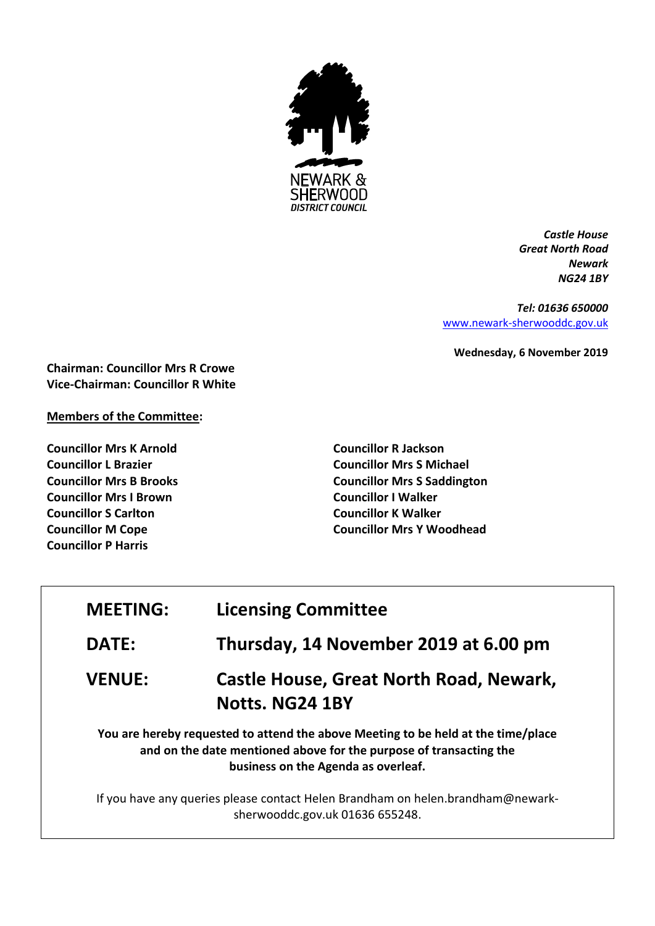

*Castle House Great North Road Newark NG24 1BY*

*Tel: 01636 650000* [www.newark-sherwooddc.gov.uk](http://www.newark-sherwooddc.gov.uk/)

**Wednesday, 6 November 2019**

**Chairman: Councillor Mrs R Crowe Vice-Chairman: Councillor R White**

## **Members of the Committee:**

**Councillor Mrs K Arnold Councillor L Brazier Councillor Mrs B Brooks Councillor Mrs I Brown Councillor S Carlton Councillor M Cope Councillor P Harris**

**Councillor R Jackson Councillor Mrs S Michael Councillor Mrs S Saddington Councillor I Walker Councillor K Walker Councillor Mrs Y Woodhead**

| <b>MEETING:</b> | <b>Licensing Committee</b>                                                                                                                                                                     |
|-----------------|------------------------------------------------------------------------------------------------------------------------------------------------------------------------------------------------|
| <b>DATE:</b>    | Thursday, 14 November 2019 at 6.00 pm                                                                                                                                                          |
| <b>VENUE:</b>   | <b>Castle House, Great North Road, Newark,</b><br>Notts. NG24 1BY                                                                                                                              |
|                 | You are hereby requested to attend the above Meeting to be held at the time/place<br>and on the date mentioned above for the purpose of transacting the<br>business on the Agenda as overleaf. |
|                 | If you have any queries please contact Helen Brandham on helen.brandham@newark-<br>sherwooddc.gov.uk 01636 655248.                                                                             |